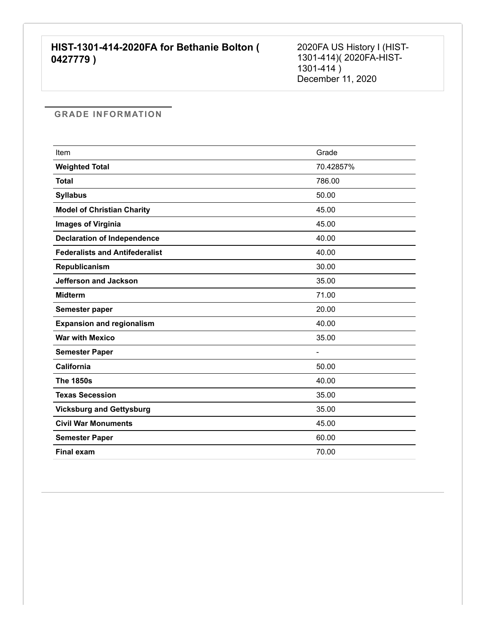2020FA US History I (HIST-1301-414)( 2020FA-HIST- $1301 - 414)$ December 11, 2020

| Item                                  | Grade     |
|---------------------------------------|-----------|
| <b>Weighted Total</b>                 | 70.42857% |
| <b>Total</b>                          | 786.00    |
| <b>Syllabus</b>                       | 50.00     |
| <b>Model of Christian Charity</b>     | 45.00     |
| <b>Images of Virginia</b>             | 45.00     |
| <b>Declaration of Independence</b>    | 40.00     |
| <b>Federalists and Antifederalist</b> | 40.00     |
| Republicanism                         | 30.00     |
| <b>Jefferson and Jackson</b>          | 35.00     |
| <b>Midterm</b>                        | 71.00     |
| Semester paper                        | 20.00     |
| <b>Expansion and regionalism</b>      | 40.00     |
| <b>War with Mexico</b>                | 35.00     |
| <b>Semester Paper</b>                 |           |
| <b>California</b>                     | 50.00     |
| <b>The 1850s</b>                      | 40.00     |
| <b>Texas Secession</b>                | 35.00     |
| <b>Vicksburg and Gettysburg</b>       | 35.00     |
| <b>Civil War Monuments</b>            | 45.00     |
| <b>Semester Paper</b>                 | 60.00     |
| <b>Final exam</b>                     | 70.00     |
|                                       |           |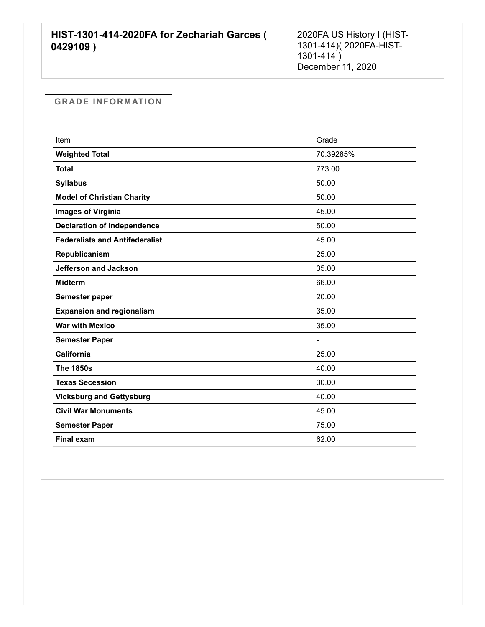2020FA US History I (HIST-1301-414)( 2020FA-HIST- $1301 - 414$ ) December 11, 2020

| Item                                  | Grade     |
|---------------------------------------|-----------|
| <b>Weighted Total</b>                 | 70.39285% |
| <b>Total</b>                          | 773.00    |
| <b>Syllabus</b>                       | 50.00     |
| <b>Model of Christian Charity</b>     | 50.00     |
| <b>Images of Virginia</b>             | 45.00     |
| <b>Declaration of Independence</b>    | 50.00     |
| <b>Federalists and Antifederalist</b> | 45.00     |
| Republicanism                         | 25.00     |
| <b>Jefferson and Jackson</b>          | 35.00     |
| <b>Midterm</b>                        | 66.00     |
| Semester paper                        | 20.00     |
| <b>Expansion and regionalism</b>      | 35.00     |
| <b>War with Mexico</b>                | 35.00     |
| <b>Semester Paper</b>                 |           |
| California                            | 25.00     |
| <b>The 1850s</b>                      | 40.00     |
| <b>Texas Secession</b>                | 30.00     |
| <b>Vicksburg and Gettysburg</b>       | 40.00     |
| <b>Civil War Monuments</b>            | 45.00     |
| <b>Semester Paper</b>                 | 75.00     |
| <b>Final exam</b>                     | 62.00     |
|                                       |           |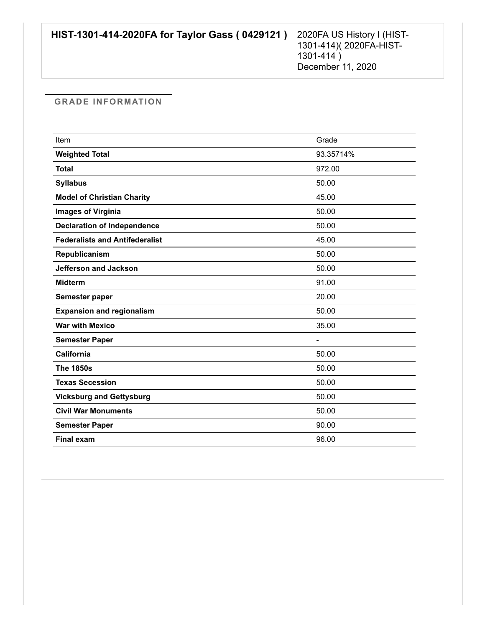| Item                                  | Grade     |
|---------------------------------------|-----------|
| <b>Weighted Total</b>                 | 93.35714% |
| <b>Total</b>                          | 972.00    |
| <b>Syllabus</b>                       | 50.00     |
| <b>Model of Christian Charity</b>     | 45.00     |
| <b>Images of Virginia</b>             | 50.00     |
| <b>Declaration of Independence</b>    | 50.00     |
| <b>Federalists and Antifederalist</b> | 45.00     |
| Republicanism                         | 50.00     |
| <b>Jefferson and Jackson</b>          | 50.00     |
| <b>Midterm</b>                        | 91.00     |
| Semester paper                        | 20.00     |
| <b>Expansion and regionalism</b>      | 50.00     |
| <b>War with Mexico</b>                | 35.00     |
| <b>Semester Paper</b>                 |           |
| <b>California</b>                     | 50.00     |
| <b>The 1850s</b>                      | 50.00     |
| <b>Texas Secession</b>                | 50.00     |
| <b>Vicksburg and Gettysburg</b>       | 50.00     |
| <b>Civil War Monuments</b>            | 50.00     |
| <b>Semester Paper</b>                 | 90.00     |
| <b>Final exam</b>                     | 96.00     |
|                                       |           |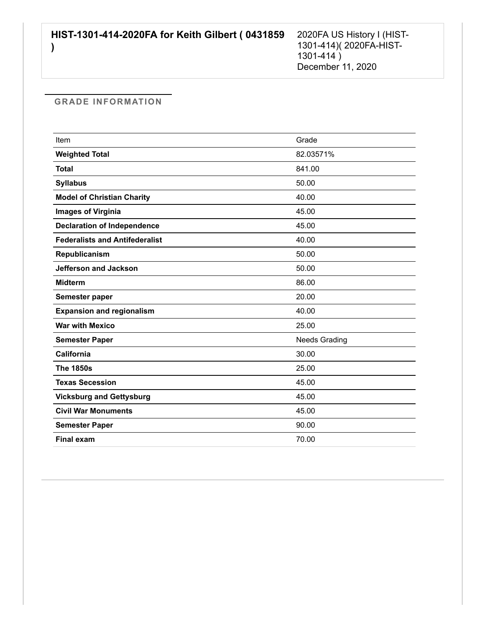| Item                                  | Grade                |
|---------------------------------------|----------------------|
| <b>Weighted Total</b>                 | 82.03571%            |
| <b>Total</b>                          | 841.00               |
| <b>Syllabus</b>                       | 50.00                |
| <b>Model of Christian Charity</b>     | 40.00                |
| <b>Images of Virginia</b>             | 45.00                |
| <b>Declaration of Independence</b>    | 45.00                |
| <b>Federalists and Antifederalist</b> | 40.00                |
| Republicanism                         | 50.00                |
| <b>Jefferson and Jackson</b>          | 50.00                |
| <b>Midterm</b>                        | 86.00                |
| Semester paper                        | 20.00                |
| <b>Expansion and regionalism</b>      | 40.00                |
| <b>War with Mexico</b>                | 25.00                |
| <b>Semester Paper</b>                 | <b>Needs Grading</b> |
| California                            | 30.00                |
| <b>The 1850s</b>                      | 25.00                |
| <b>Texas Secession</b>                | 45.00                |
| <b>Vicksburg and Gettysburg</b>       | 45.00                |
| <b>Civil War Monuments</b>            | 45.00                |
| <b>Semester Paper</b>                 | 90.00                |
| <b>Final exam</b>                     | 70.00                |
|                                       |                      |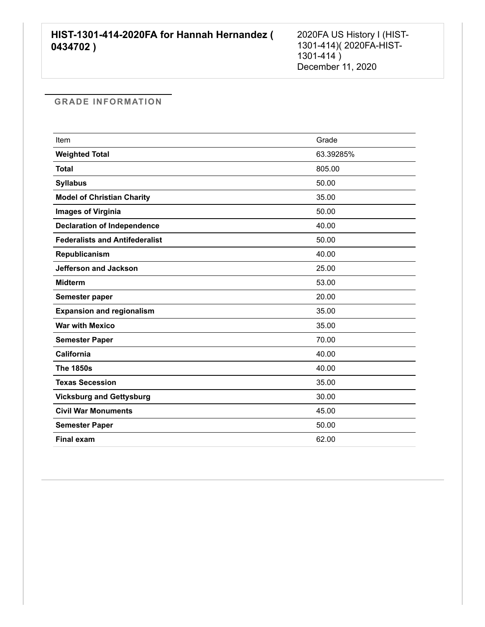2020FA US History I (HIST-1301-414)( 2020FA-HIST- $1301 - 414$ ) December 11, 2020

| Item                                  | Grade     |
|---------------------------------------|-----------|
| <b>Weighted Total</b>                 | 63.39285% |
| <b>Total</b>                          | 805.00    |
| <b>Syllabus</b>                       | 50.00     |
| <b>Model of Christian Charity</b>     | 35.00     |
| <b>Images of Virginia</b>             | 50.00     |
| <b>Declaration of Independence</b>    | 40.00     |
| <b>Federalists and Antifederalist</b> | 50.00     |
| Republicanism                         | 40.00     |
| <b>Jefferson and Jackson</b>          | 25.00     |
| <b>Midterm</b>                        | 53.00     |
| Semester paper                        | 20.00     |
| <b>Expansion and regionalism</b>      | 35.00     |
| <b>War with Mexico</b>                | 35.00     |
| <b>Semester Paper</b>                 | 70.00     |
| California                            | 40.00     |
| <b>The 1850s</b>                      | 40.00     |
| <b>Texas Secession</b>                | 35.00     |
| <b>Vicksburg and Gettysburg</b>       | 30.00     |
| <b>Civil War Monuments</b>            | 45.00     |
| <b>Semester Paper</b>                 | 50.00     |
| <b>Final exam</b>                     | 62.00     |
|                                       |           |